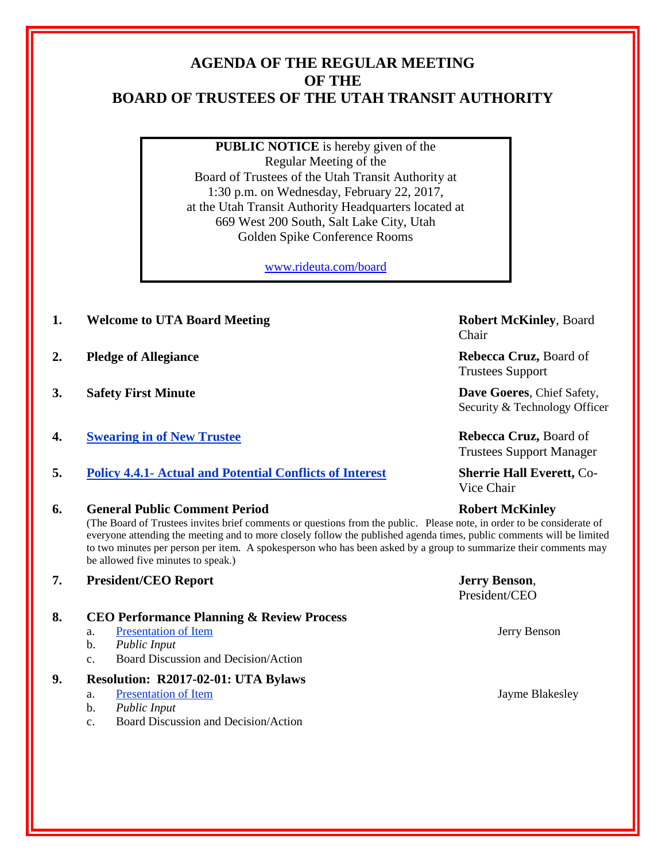## **AGENDA OF THE REGULAR MEETING OF THE BOARD OF TRUSTEES OF THE UTAH TRANSIT AUTHORITY**

**PUBLIC NOTICE** is hereby given of the Regular Meeting of the Board of Trustees of the Utah Transit Authority at 1:30 p.m. on Wednesday, February 22, 2017, at the Utah Transit Authority Headquarters located at 669 West 200 South, Salt Lake City, Utah Golden Spike Conference Rooms

[www.rideuta.com/board](http://www.rideuta.com/board)

- **1. Welcome to UTA Board Meeting <b>Robert McKinley**, Board
- **2. Pledge of Allegiance Rebecca Cruz,** Board of
- **3. Safety First Minute Dave Goeres**, Chief Safety,
- **4. Swearing in of New Trustee Rebecca Cruz, Board of Rebecca Cruz, Board of**
- **5. Policy 4.4.1- Actual and Potential Conflicts of Interest Sherrie Hall Everett,** Co-
- **6. General Public Comment Period Robert McKinley**

(The Board of Trustees invites brief comments or questions from the public. Please note, in order to be considerate of everyone attending the meeting and to more closely follow the published agenda times, public comments will be limited to two minutes per person per item. A spokesperson who has been asked by a group to summarize their comments may be allowed five minutes to speak.)

- **7. President/CEO Report Jerry Benson**,
- **8. CEO Performance Planning & Review Process**
	- a. Presentation of Item Jerry Benson
	- b. *Public Input*
	- c. Board Discussion and Decision/Action

## **9. Resolution: R2017-02-01: UTA Bylaws**

- a. Presentation of Item Jayme Blakesley
- b. *Public Input*
- c. Board Discussion and Decision/Action

Chair

Trustees Support

Security & Technology Officer

Trustees Support Manager

Vice Chair

President/CEO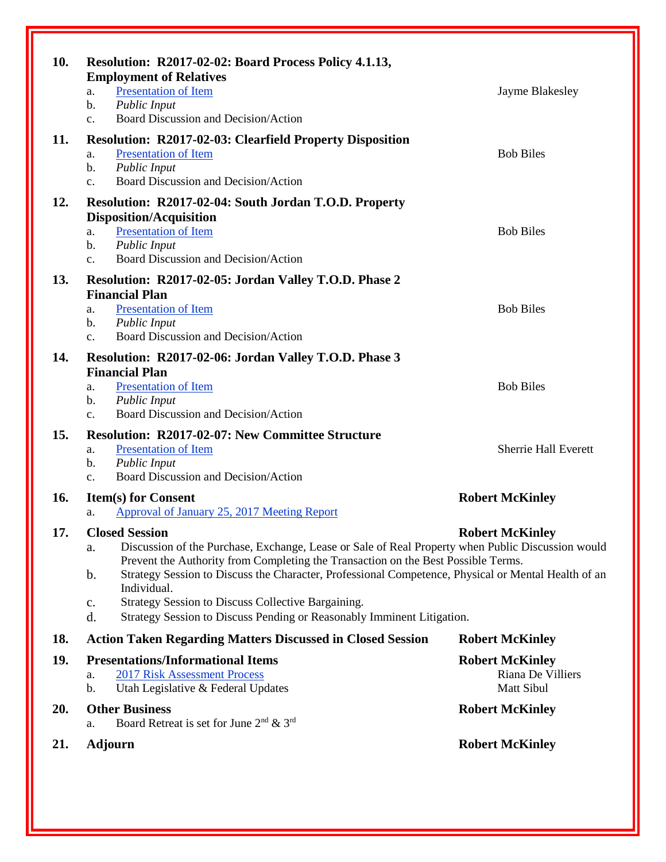| 10. | Resolution: R2017-02-02: Board Process Policy 4.1.13,<br><b>Employment of Relatives</b><br>Presentation of Item<br>a.<br><b>Public Input</b><br>b.<br>Board Discussion and Decision/Action<br>$C_{\bullet}$                                                                                                                                                                                                                                                                                                                    | Jayme Blakesley                                           |
|-----|--------------------------------------------------------------------------------------------------------------------------------------------------------------------------------------------------------------------------------------------------------------------------------------------------------------------------------------------------------------------------------------------------------------------------------------------------------------------------------------------------------------------------------|-----------------------------------------------------------|
| 11. | <b>Resolution: R2017-02-03: Clearfield Property Disposition</b><br><b>Presentation of Item</b><br>a.<br><b>Public Input</b><br>b.<br>Board Discussion and Decision/Action<br>$\mathbf{c}$ .                                                                                                                                                                                                                                                                                                                                    | <b>Bob Biles</b>                                          |
| 12. | Resolution: R2017-02-04: South Jordan T.O.D. Property<br><b>Disposition/Acquisition</b><br><b>Presentation of Item</b><br>a.<br><b>Public Input</b><br>b.<br>Board Discussion and Decision/Action<br>$C_{\star}$                                                                                                                                                                                                                                                                                                               | <b>Bob Biles</b>                                          |
| 13. | Resolution: R2017-02-05: Jordan Valley T.O.D. Phase 2<br><b>Financial Plan</b><br><b>Presentation of Item</b><br>a.<br><b>Public Input</b><br>b.<br>Board Discussion and Decision/Action<br>$c_{\cdot}$                                                                                                                                                                                                                                                                                                                        | <b>Bob Biles</b>                                          |
| 14. | Resolution: R2017-02-06: Jordan Valley T.O.D. Phase 3<br><b>Financial Plan</b><br><b>Presentation of Item</b><br>a.<br><b>Public Input</b><br>b.<br>Board Discussion and Decision/Action<br>$C_{\star}$                                                                                                                                                                                                                                                                                                                        | <b>Bob Biles</b>                                          |
| 15. | <b>Resolution: R2017-02-07: New Committee Structure</b><br><b>Presentation of Item</b><br>a.<br>Public Input<br>b.<br>Board Discussion and Decision/Action<br>$\mathbf{c}$ .                                                                                                                                                                                                                                                                                                                                                   | <b>Sherrie Hall Everett</b>                               |
| 16. | <b>Item(s) for Consent</b><br>Approval of January 25, 2017 Meeting Report<br>a.                                                                                                                                                                                                                                                                                                                                                                                                                                                | <b>Robert McKinley</b>                                    |
| 17. | <b>Closed Session</b><br><b>Robert McKinley</b><br>Discussion of the Purchase, Exchange, Lease or Sale of Real Property when Public Discussion would<br>а.<br>Prevent the Authority from Completing the Transaction on the Best Possible Terms.<br>Strategy Session to Discuss the Character, Professional Competence, Physical or Mental Health of an<br>b.<br>Individual.<br><b>Strategy Session to Discuss Collective Bargaining.</b><br>c.<br>Strategy Session to Discuss Pending or Reasonably Imminent Litigation.<br>d. |                                                           |
| 18. | <b>Action Taken Regarding Matters Discussed in Closed Session</b>                                                                                                                                                                                                                                                                                                                                                                                                                                                              | <b>Robert McKinley</b>                                    |
| 19. | <b>Presentations/Informational Items</b><br><b>2017 Risk Assessment Process</b><br>a.<br>Utah Legislative & Federal Updates<br>b.                                                                                                                                                                                                                                                                                                                                                                                              | <b>Robert McKinley</b><br>Riana De Villiers<br>Matt Sibul |
| 20. | <b>Other Business</b><br>Board Retreat is set for June $2nd \& 3rd$<br>a.                                                                                                                                                                                                                                                                                                                                                                                                                                                      | <b>Robert McKinley</b>                                    |
| 21. | <b>Adjourn</b>                                                                                                                                                                                                                                                                                                                                                                                                                                                                                                                 | <b>Robert McKinley</b>                                    |
|     |                                                                                                                                                                                                                                                                                                                                                                                                                                                                                                                                |                                                           |